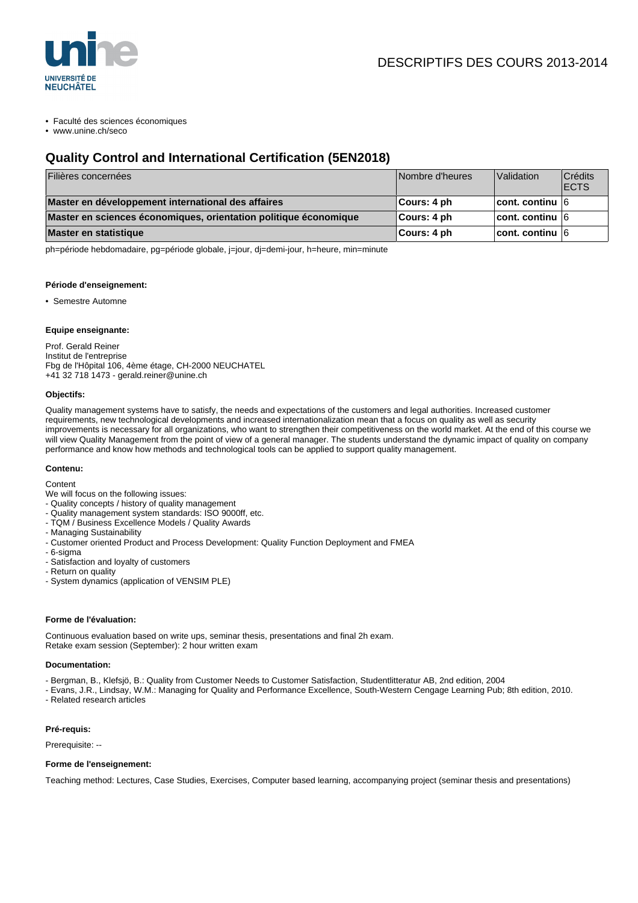

• Faculté des sciences économiques

• www.unine.ch/seco

# **Quality Control and International Certification (5EN2018)**

| Filières concernées                                              | Nombre d'heures | Validation              | <b>Crédits</b><br><b>IECTS</b> |
|------------------------------------------------------------------|-----------------|-------------------------|--------------------------------|
| Master en développement international des affaires               | ∣Cours: 4 ph    | cont. continu $6$       |                                |
| Master en sciences économiques, orientation politique économique | Cours: 4 ph     | $ $ cont. continu $ 6 $ |                                |
| Master en statistique                                            | Cours: 4 ph     | $ $ cont. continu $ 6 $ |                                |

ph=période hebdomadaire, pg=période globale, j=jour, dj=demi-jour, h=heure, min=minute

#### **Période d'enseignement:**

• Semestre Automne

# **Equipe enseignante:**

Prof. Gerald Reiner Institut de l'entreprise Fbg de l'Hôpital 106, 4ème étage, CH-2000 NEUCHATEL +41 32 718 1473 - gerald.reiner@unine.ch

#### **Objectifs:**

Quality management systems have to satisfy, the needs and expectations of the customers and legal authorities. Increased customer requirements, new technological developments and increased internationalization mean that a focus on quality as well as security improvements is necessary for all organizations, who want to strengthen their competitiveness on the world market. At the end of this course we will view Quality Management from the point of view of a general manager. The students understand the dynamic impact of quality on company performance and know how methods and technological tools can be applied to support quality management.

#### **Contenu:**

**Content** 

We will focus on the following issues:

- Quality concepts / history of quality management
- Quality management system standards: ISO 9000ff, etc.
- TQM / Business Excellence Models / Quality Awards
- Managing Sustainability
- Customer oriented Product and Process Development: Quality Function Deployment and FMEA
- 6-sigma
- Satisfaction and loyalty of customers
- Return on quality
- System dynamics (application of VENSIM PLE)

#### **Forme de l'évaluation:**

Continuous evaluation based on write ups, seminar thesis, presentations and final 2h exam. Retake exam session (September): 2 hour written exam

# **Documentation:**

- Bergman, B., Klefsjö, B.: Quality from Customer Needs to Customer Satisfaction, Studentlitteratur AB, 2nd edition, 2004

- Evans, J.R., Lindsay, W.M.: Managing for Quality and Performance Excellence, South-Western Cengage Learning Pub; 8th edition, 2010. - Related research articles

# **Pré-requis:**

Prerequisite: --

# **Forme de l'enseignement:**

Teaching method: Lectures, Case Studies, Exercises, Computer based learning, accompanying project (seminar thesis and presentations)